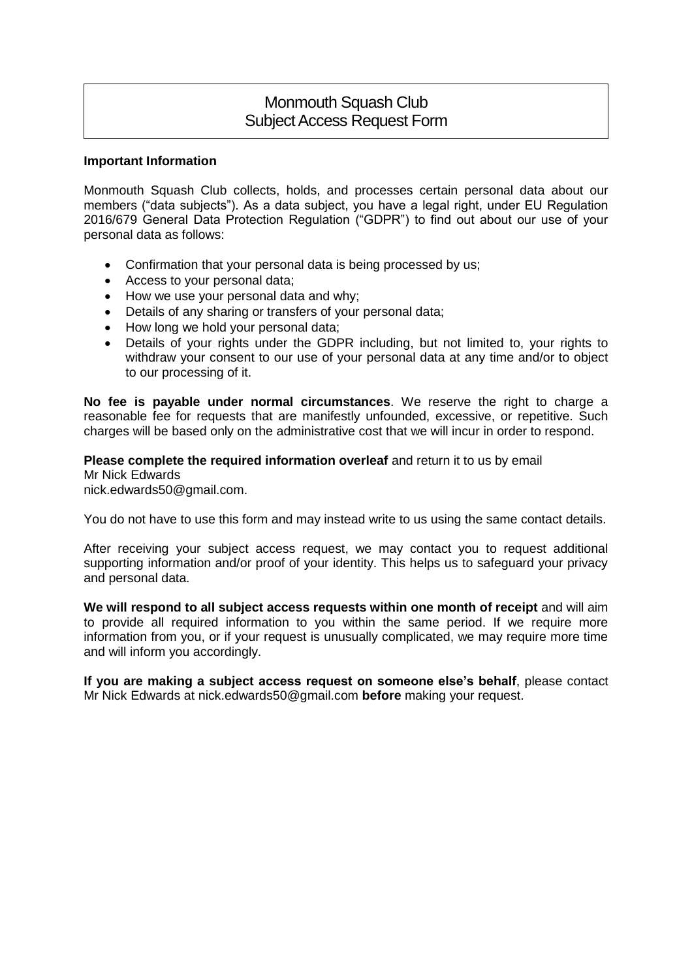# Monmouth Squash Club Subject Access Request Form

### **Important Information**

Monmouth Squash Club collects, holds, and processes certain personal data about our members ("data subjects"). As a data subject, you have a legal right, under EU Regulation 2016/679 General Data Protection Regulation ("GDPR") to find out about our use of your personal data as follows:

- Confirmation that your personal data is being processed by us;
- Access to your personal data;
- How we use your personal data and why;
- Details of any sharing or transfers of your personal data;
- How long we hold your personal data;
- Details of your rights under the GDPR including, but not limited to, your rights to withdraw your consent to our use of your personal data at any time and/or to object to our processing of it.

**No fee is payable under normal circumstances**. We reserve the right to charge a reasonable fee for requests that are manifestly unfounded, excessive, or repetitive. Such charges will be based only on the administrative cost that we will incur in order to respond.

### **Please complete the required information overleaf** and return it to us by email

Mr Nick Edwards nick.edwards50@gmail.com.

You do not have to use this form and may instead write to us using the same contact details.

After receiving your subject access request, we may contact you to request additional supporting information and/or proof of your identity. This helps us to safeguard your privacy and personal data.

**We will respond to all subject access requests within one month of receipt** and will aim to provide all required information to you within the same period. If we require more information from you, or if your request is unusually complicated, we may require more time and will inform you accordingly.

**If you are making a subject access request on someone else's behalf**, please contact Mr Nick Edwards at nick.edwards50@gmail.com **before** making your request.